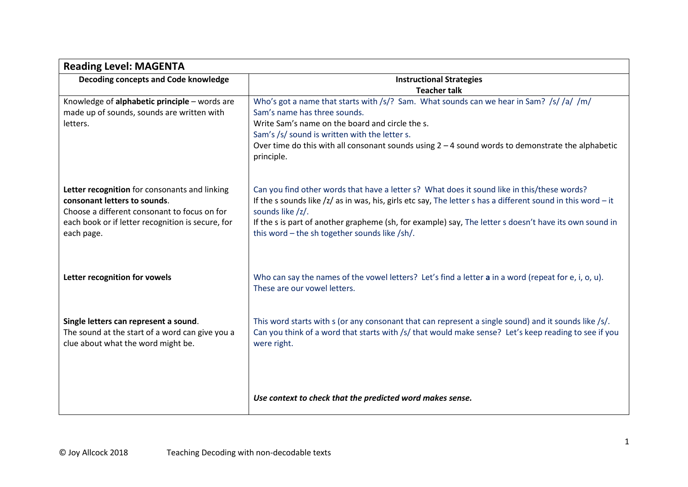| <b>Reading Level: MAGENTA</b>                                                                                                  |                                                                                                                                                                                                                               |  |  |  |  |
|--------------------------------------------------------------------------------------------------------------------------------|-------------------------------------------------------------------------------------------------------------------------------------------------------------------------------------------------------------------------------|--|--|--|--|
| Decoding concepts and Code knowledge                                                                                           | <b>Instructional Strategies</b>                                                                                                                                                                                               |  |  |  |  |
|                                                                                                                                | <b>Teacher talk</b>                                                                                                                                                                                                           |  |  |  |  |
| Knowledge of alphabetic principle - words are                                                                                  | Who's got a name that starts with /s/? Sam. What sounds can we hear in Sam? /s//a//m/                                                                                                                                         |  |  |  |  |
| made up of sounds, sounds are written with                                                                                     | Sam's name has three sounds.                                                                                                                                                                                                  |  |  |  |  |
| letters.                                                                                                                       | Write Sam's name on the board and circle the s.                                                                                                                                                                               |  |  |  |  |
|                                                                                                                                | Sam's /s/ sound is written with the letter s.                                                                                                                                                                                 |  |  |  |  |
|                                                                                                                                | Over time do this with all consonant sounds using $2 - 4$ sound words to demonstrate the alphabetic<br>principle.                                                                                                             |  |  |  |  |
| Letter recognition for consonants and linking                                                                                  | Can you find other words that have a letter s? What does it sound like in this/these words?                                                                                                                                   |  |  |  |  |
| consonant letters to sounds.<br>Choose a different consonant to focus on for                                                   | If the s sounds like $/z/$ as in was, his, girls etc say, The letter s has a different sound in this word $-$ it<br>sounds like /z/.                                                                                          |  |  |  |  |
| each book or if letter recognition is secure, for<br>each page.                                                                | If the s is part of another grapheme (sh, for example) say, The letter s doesn't have its own sound in<br>this word - the sh together sounds like /sh/.                                                                       |  |  |  |  |
| Letter recognition for vowels                                                                                                  | Who can say the names of the vowel letters? Let's find a letter a in a word (repeat for e, i, o, u).<br>These are our vowel letters.                                                                                          |  |  |  |  |
| Single letters can represent a sound.<br>The sound at the start of a word can give you a<br>clue about what the word might be. | This word starts with $s$ (or any consonant that can represent a single sound) and it sounds like /s/.<br>Can you think of a word that starts with /s/ that would make sense? Let's keep reading to see if you<br>were right. |  |  |  |  |
|                                                                                                                                | Use context to check that the predicted word makes sense.                                                                                                                                                                     |  |  |  |  |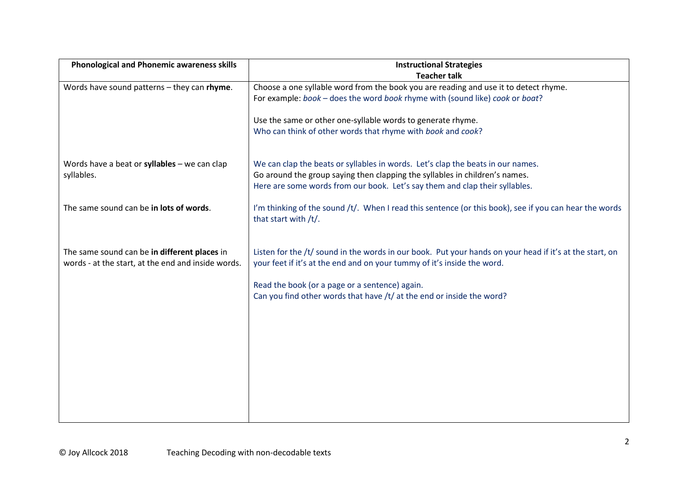| <b>Phonological and Phonemic awareness skills</b>  | <b>Instructional Strategies</b>                                                                         |  |  |  |  |
|----------------------------------------------------|---------------------------------------------------------------------------------------------------------|--|--|--|--|
|                                                    | <b>Teacher talk</b>                                                                                     |  |  |  |  |
| Words have sound patterns - they can rhyme.        | Choose a one syllable word from the book you are reading and use it to detect rhyme.                    |  |  |  |  |
|                                                    | For example: book - does the word book rhyme with (sound like) cook or boat?                            |  |  |  |  |
|                                                    |                                                                                                         |  |  |  |  |
|                                                    | Use the same or other one-syllable words to generate rhyme.                                             |  |  |  |  |
|                                                    | Who can think of other words that rhyme with book and cook?                                             |  |  |  |  |
|                                                    |                                                                                                         |  |  |  |  |
|                                                    |                                                                                                         |  |  |  |  |
| Words have a beat or syllables $-$ we can clap     | We can clap the beats or syllables in words. Let's clap the beats in our names.                         |  |  |  |  |
| syllables.                                         | Go around the group saying then clapping the syllables in children's names.                             |  |  |  |  |
|                                                    | Here are some words from our book. Let's say them and clap their syllables.                             |  |  |  |  |
|                                                    |                                                                                                         |  |  |  |  |
| The same sound can be in lots of words.            | I'm thinking of the sound /t/. When I read this sentence (or this book), see if you can hear the words  |  |  |  |  |
|                                                    | that start with /t/.                                                                                    |  |  |  |  |
|                                                    |                                                                                                         |  |  |  |  |
|                                                    |                                                                                                         |  |  |  |  |
| The same sound can be in different places in       | Listen for the /t/ sound in the words in our book. Put your hands on your head if it's at the start, on |  |  |  |  |
| words - at the start, at the end and inside words. | your feet if it's at the end and on your tummy of it's inside the word.                                 |  |  |  |  |
|                                                    |                                                                                                         |  |  |  |  |
|                                                    | Read the book (or a page or a sentence) again.                                                          |  |  |  |  |
|                                                    | Can you find other words that have /t/ at the end or inside the word?                                   |  |  |  |  |
|                                                    |                                                                                                         |  |  |  |  |
|                                                    |                                                                                                         |  |  |  |  |
|                                                    |                                                                                                         |  |  |  |  |
|                                                    |                                                                                                         |  |  |  |  |
|                                                    |                                                                                                         |  |  |  |  |
|                                                    |                                                                                                         |  |  |  |  |
|                                                    |                                                                                                         |  |  |  |  |
|                                                    |                                                                                                         |  |  |  |  |
|                                                    |                                                                                                         |  |  |  |  |
|                                                    |                                                                                                         |  |  |  |  |
|                                                    |                                                                                                         |  |  |  |  |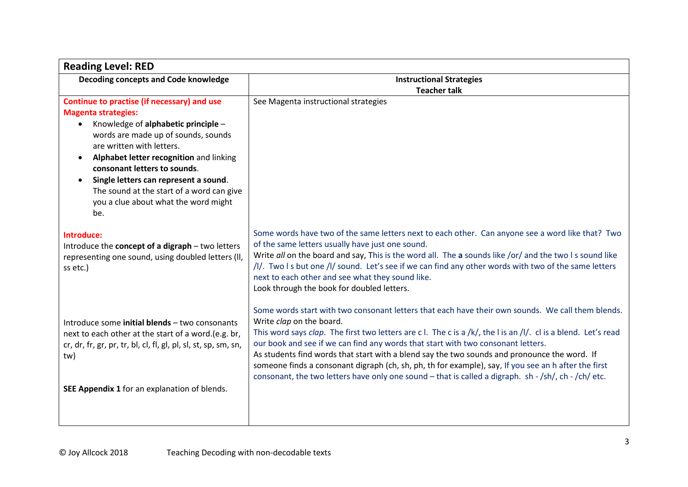| <b>Reading Level: RED</b>                                                                                                                                                                                                                                                                                                                                                                                         |                                                                                                                                                                                                                                                                                                                                                                                                                                                                                                                                                                                                                                                     |  |  |
|-------------------------------------------------------------------------------------------------------------------------------------------------------------------------------------------------------------------------------------------------------------------------------------------------------------------------------------------------------------------------------------------------------------------|-----------------------------------------------------------------------------------------------------------------------------------------------------------------------------------------------------------------------------------------------------------------------------------------------------------------------------------------------------------------------------------------------------------------------------------------------------------------------------------------------------------------------------------------------------------------------------------------------------------------------------------------------------|--|--|
| Decoding concepts and Code knowledge                                                                                                                                                                                                                                                                                                                                                                              | <b>Instructional Strategies</b>                                                                                                                                                                                                                                                                                                                                                                                                                                                                                                                                                                                                                     |  |  |
|                                                                                                                                                                                                                                                                                                                                                                                                                   | <b>Teacher talk</b>                                                                                                                                                                                                                                                                                                                                                                                                                                                                                                                                                                                                                                 |  |  |
| Continue to practise (if necessary) and use<br><b>Magenta strategies:</b><br>Knowledge of alphabetic principle -<br>words are made up of sounds, sounds<br>are written with letters.<br>Alphabet letter recognition and linking<br>consonant letters to sounds.<br>Single letters can represent a sound.<br>$\bullet$<br>The sound at the start of a word can give<br>you a clue about what the word might<br>be. | See Magenta instructional strategies                                                                                                                                                                                                                                                                                                                                                                                                                                                                                                                                                                                                                |  |  |
| Introduce:<br>Introduce the concept of a digraph - two letters<br>representing one sound, using doubled letters (II,<br>ss etc.)                                                                                                                                                                                                                                                                                  | Some words have two of the same letters next to each other. Can anyone see a word like that? Two<br>of the same letters usually have just one sound.<br>Write all on the board and say, This is the word all. The a sounds like /or/ and the two I s sound like<br>/I/. Two I s but one /I/ sound. Let's see if we can find any other words with two of the same letters<br>next to each other and see what they sound like.<br>Look through the book for doubled letters.                                                                                                                                                                          |  |  |
| Introduce some <i>initial blends</i> - two consonants<br>next to each other at the start of a word.(e.g. br,<br>cr, dr, fr, gr, pr, tr, bl, cl, fl, gl, pl, sl, st, sp, sm, sn,<br>tw)<br>SEE Appendix 1 for an explanation of blends.                                                                                                                                                                            | Some words start with two consonant letters that each have their own sounds. We call them blends.<br>Write clap on the board.<br>This word says clap. The first two letters are c l. The c is a /k/, the I is an /I/. cl is a blend. Let's read<br>our book and see if we can find any words that start with two consonant letters.<br>As students find words that start with a blend say the two sounds and pronounce the word. If<br>someone finds a consonant digraph (ch, sh, ph, th for example), say, If you see an h after the first<br>consonant, the two letters have only one sound - that is called a digraph. sh - /sh/, ch - /ch/ etc. |  |  |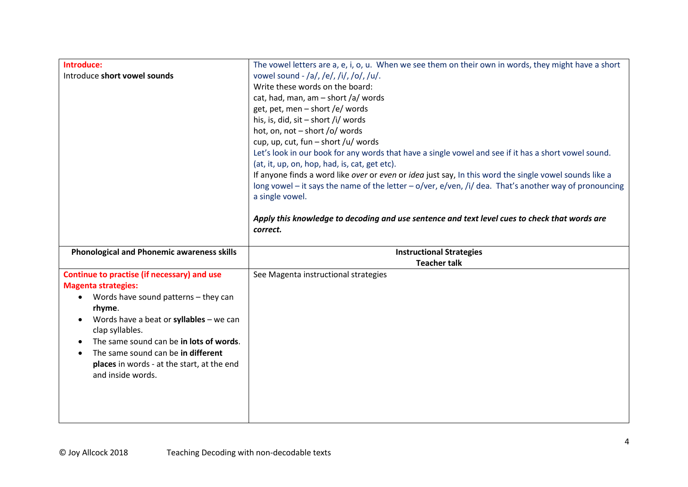| Introduce:                                           | The vowel letters are a, e, i, o, u. When we see them on their own in words, they might have a short   |  |  |  |  |  |
|------------------------------------------------------|--------------------------------------------------------------------------------------------------------|--|--|--|--|--|
| Introduce short vowel sounds                         | vowel sound - /a/, /e/, /i/, /o/, /u/.                                                                 |  |  |  |  |  |
|                                                      | Write these words on the board:                                                                        |  |  |  |  |  |
|                                                      | cat, had, man, am $-$ short /a/ words                                                                  |  |  |  |  |  |
|                                                      | get, pet, men - short /e/ words                                                                        |  |  |  |  |  |
|                                                      | his, is, did, sit - short /i/ words                                                                    |  |  |  |  |  |
|                                                      | hot, on, not - short /o/ words                                                                         |  |  |  |  |  |
|                                                      | cup, up, cut, fun – short /u/ words                                                                    |  |  |  |  |  |
|                                                      | Let's look in our book for any words that have a single vowel and see if it has a short vowel sound.   |  |  |  |  |  |
|                                                      | (at, it, up, on, hop, had, is, cat, get etc).                                                          |  |  |  |  |  |
|                                                      | If anyone finds a word like over or even or idea just say, In this word the single vowel sounds like a |  |  |  |  |  |
|                                                      | long vowel - it says the name of the letter - o/ver, e/ven, /i/ dea. That's another way of pronouncing |  |  |  |  |  |
|                                                      | a single vowel.                                                                                        |  |  |  |  |  |
|                                                      |                                                                                                        |  |  |  |  |  |
|                                                      | Apply this knowledge to decoding and use sentence and text level cues to check that words are          |  |  |  |  |  |
|                                                      | correct.                                                                                               |  |  |  |  |  |
|                                                      |                                                                                                        |  |  |  |  |  |
|                                                      |                                                                                                        |  |  |  |  |  |
| <b>Phonological and Phonemic awareness skills</b>    | <b>Instructional Strategies</b><br><b>Teacher talk</b>                                                 |  |  |  |  |  |
| Continue to practise (if necessary) and use          | See Magenta instructional strategies                                                                   |  |  |  |  |  |
| <b>Magenta strategies:</b>                           |                                                                                                        |  |  |  |  |  |
| Words have sound patterns - they can<br>$\bullet$    |                                                                                                        |  |  |  |  |  |
| rhyme.                                               |                                                                                                        |  |  |  |  |  |
| Words have a beat or syllables - we can<br>$\bullet$ |                                                                                                        |  |  |  |  |  |
| clap syllables.                                      |                                                                                                        |  |  |  |  |  |
| The same sound can be in lots of words.              |                                                                                                        |  |  |  |  |  |
| The same sound can be in different                   |                                                                                                        |  |  |  |  |  |
| places in words - at the start, at the end           |                                                                                                        |  |  |  |  |  |
| and inside words.                                    |                                                                                                        |  |  |  |  |  |
|                                                      |                                                                                                        |  |  |  |  |  |
|                                                      |                                                                                                        |  |  |  |  |  |
|                                                      |                                                                                                        |  |  |  |  |  |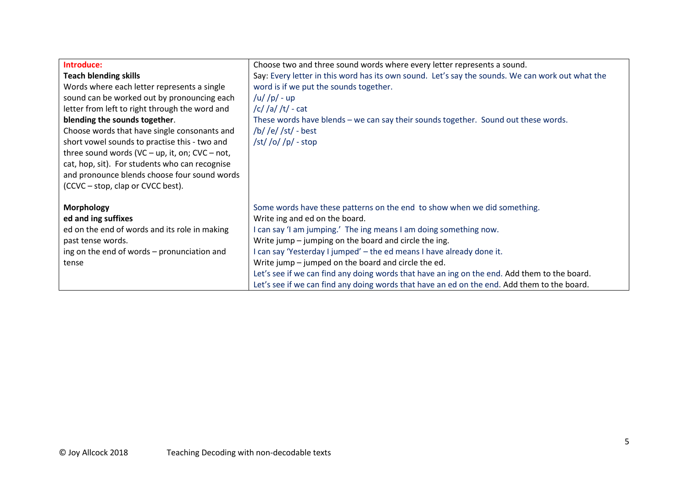| Introduce:                                        | Choose two and three sound words where every letter represents a sound.                          |
|---------------------------------------------------|--------------------------------------------------------------------------------------------------|
| <b>Teach blending skills</b>                      | Say: Every letter in this word has its own sound. Let's say the sounds. We can work out what the |
| Words where each letter represents a single       | word is if we put the sounds together.                                                           |
| sound can be worked out by pronouncing each       | $/u$ / $p$ / - up                                                                                |
| letter from left to right through the word and    | $/c$ / $a$ / $t$ / $-a$                                                                          |
| blending the sounds together.                     | These words have blends - we can say their sounds together. Sound out these words.               |
| Choose words that have single consonants and      | /b/ /e/ /st/ - best                                                                              |
| short vowel sounds to practise this - two and     | $\sqrt{\frac{s}{q}}$ /o//p/ - stop                                                               |
| three sound words (VC - up, it, on; $CVC - not$ , |                                                                                                  |
| cat, hop, sit). For students who can recognise    |                                                                                                  |
| and pronounce blends choose four sound words      |                                                                                                  |
| (CCVC – stop, clap or CVCC best).                 |                                                                                                  |
|                                                   |                                                                                                  |
| <b>Morphology</b>                                 | Some words have these patterns on the end to show when we did something.                         |
| ed and ing suffixes                               | Write ing and ed on the board.                                                                   |
| ed on the end of words and its role in making     | I can say 'I am jumping.' The ing means I am doing something now.                                |
| past tense words.                                 | Write jump – jumping on the board and circle the ing.                                            |
| ing on the end of words – pronunciation and       | I can say 'Yesterday I jumped' - the ed means I have already done it.                            |
| tense                                             | Write jump – jumped on the board and circle the ed.                                              |
|                                                   | Let's see if we can find any doing words that have an ing on the end. Add them to the board.     |
|                                                   | Let's see if we can find any doing words that have an ed on the end. Add them to the board.      |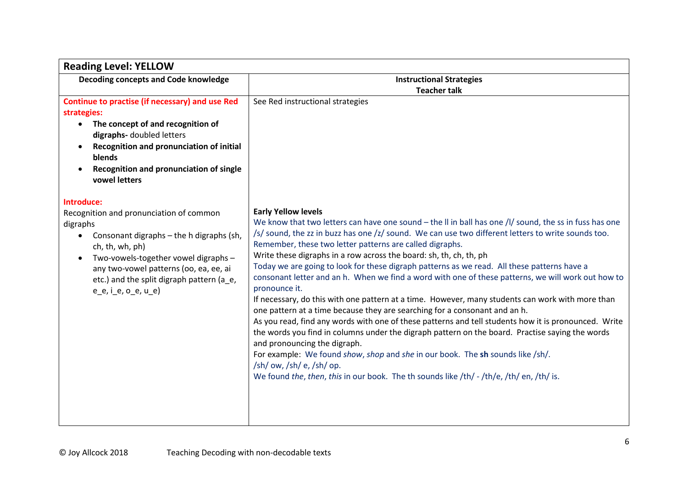| <b>Reading Level: YELLOW</b>                                                                                                                                                                                                                                                               |                                                                                                                                                                                                                                                                                                                                                                                                                                                                                                                                                                                                                                                                                                                                                                                                                                                                                                                                                                                                                                                                                                                                                                                                                                                                   |  |  |  |
|--------------------------------------------------------------------------------------------------------------------------------------------------------------------------------------------------------------------------------------------------------------------------------------------|-------------------------------------------------------------------------------------------------------------------------------------------------------------------------------------------------------------------------------------------------------------------------------------------------------------------------------------------------------------------------------------------------------------------------------------------------------------------------------------------------------------------------------------------------------------------------------------------------------------------------------------------------------------------------------------------------------------------------------------------------------------------------------------------------------------------------------------------------------------------------------------------------------------------------------------------------------------------------------------------------------------------------------------------------------------------------------------------------------------------------------------------------------------------------------------------------------------------------------------------------------------------|--|--|--|
| Decoding concepts and Code knowledge                                                                                                                                                                                                                                                       | <b>Instructional Strategies</b>                                                                                                                                                                                                                                                                                                                                                                                                                                                                                                                                                                                                                                                                                                                                                                                                                                                                                                                                                                                                                                                                                                                                                                                                                                   |  |  |  |
|                                                                                                                                                                                                                                                                                            | <b>Teacher talk</b>                                                                                                                                                                                                                                                                                                                                                                                                                                                                                                                                                                                                                                                                                                                                                                                                                                                                                                                                                                                                                                                                                                                                                                                                                                               |  |  |  |
| Continue to practise (if necessary) and use Red                                                                                                                                                                                                                                            | See Red instructional strategies                                                                                                                                                                                                                                                                                                                                                                                                                                                                                                                                                                                                                                                                                                                                                                                                                                                                                                                                                                                                                                                                                                                                                                                                                                  |  |  |  |
| strategies:                                                                                                                                                                                                                                                                                |                                                                                                                                                                                                                                                                                                                                                                                                                                                                                                                                                                                                                                                                                                                                                                                                                                                                                                                                                                                                                                                                                                                                                                                                                                                                   |  |  |  |
| The concept of and recognition of<br>$\bullet$<br>digraphs- doubled letters                                                                                                                                                                                                                |                                                                                                                                                                                                                                                                                                                                                                                                                                                                                                                                                                                                                                                                                                                                                                                                                                                                                                                                                                                                                                                                                                                                                                                                                                                                   |  |  |  |
| Recognition and pronunciation of initial<br>blends                                                                                                                                                                                                                                         |                                                                                                                                                                                                                                                                                                                                                                                                                                                                                                                                                                                                                                                                                                                                                                                                                                                                                                                                                                                                                                                                                                                                                                                                                                                                   |  |  |  |
| Recognition and pronunciation of single<br>vowel letters                                                                                                                                                                                                                                   |                                                                                                                                                                                                                                                                                                                                                                                                                                                                                                                                                                                                                                                                                                                                                                                                                                                                                                                                                                                                                                                                                                                                                                                                                                                                   |  |  |  |
| Introduce:                                                                                                                                                                                                                                                                                 |                                                                                                                                                                                                                                                                                                                                                                                                                                                                                                                                                                                                                                                                                                                                                                                                                                                                                                                                                                                                                                                                                                                                                                                                                                                                   |  |  |  |
| Recognition and pronunciation of common<br>digraphs<br>Consonant digraphs - the h digraphs (sh,<br>ch, th, wh, ph)<br>Two-vowels-together vowel digraphs -<br>$\bullet$<br>any two-vowel patterns (oo, ea, ee, ai<br>etc.) and the split digraph pattern (a_e,<br>$e_{e}$ , i_e, o_e, u_e) | <b>Early Yellow levels</b><br>We know that two letters can have one sound $-$ the II in ball has one /I/ sound, the ss in fuss has one<br>/s/ sound, the zz in buzz has one /z/ sound. We can use two different letters to write sounds too.<br>Remember, these two letter patterns are called digraphs.<br>Write these digraphs in a row across the board: sh, th, ch, th, ph<br>Today we are going to look for these digraph patterns as we read. All these patterns have a<br>consonant letter and an h. When we find a word with one of these patterns, we will work out how to<br>pronounce it.<br>If necessary, do this with one pattern at a time. However, many students can work with more than<br>one pattern at a time because they are searching for a consonant and an h.<br>As you read, find any words with one of these patterns and tell students how it is pronounced. Write<br>the words you find in columns under the digraph pattern on the board. Practise saying the words<br>and pronouncing the digraph.<br>For example: We found show, shop and she in our book. The sh sounds like /sh/.<br>$\frac{\sinh(\theta)}{\sinh(\theta)}$ /sh/ op.<br>We found the, then, this in our book. The th sounds like /th/ - /th/e, /th/ en, /th/ is. |  |  |  |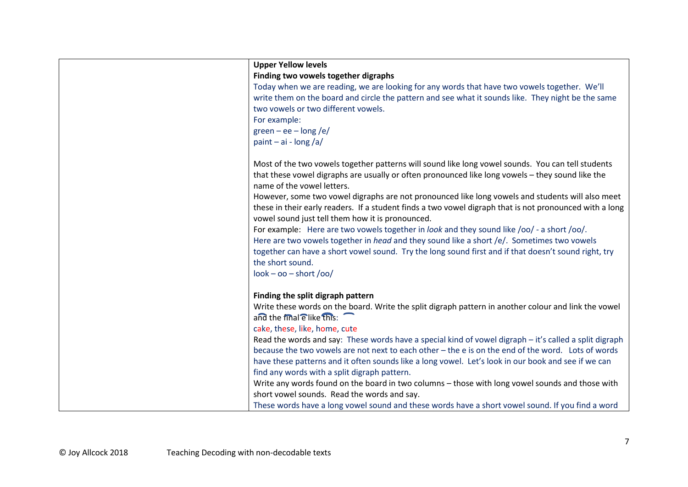| <b>Upper Yellow levels</b>                                                                                                                                                                                                                                                                                           |
|----------------------------------------------------------------------------------------------------------------------------------------------------------------------------------------------------------------------------------------------------------------------------------------------------------------------|
| Finding two vowels together digraphs                                                                                                                                                                                                                                                                                 |
| Today when we are reading, we are looking for any words that have two vowels together. We'll<br>write them on the board and circle the pattern and see what it sounds like. They night be the same<br>two vowels or two different vowels.                                                                            |
| For example:                                                                                                                                                                                                                                                                                                         |
| green – ee – long /e/                                                                                                                                                                                                                                                                                                |
| paint $-$ ai - long /a/                                                                                                                                                                                                                                                                                              |
| Most of the two vowels together patterns will sound like long vowel sounds. You can tell students<br>that these vowel digraphs are usually or often pronounced like long vowels - they sound like the<br>name of the vowel letters.                                                                                  |
| However, some two vowel digraphs are not pronounced like long vowels and students will also meet<br>these in their early readers. If a student finds a two vowel digraph that is not pronounced with a long<br>vowel sound just tell them how it is pronounced.                                                      |
| For example: Here are two vowels together in look and they sound like /oo/ - a short /oo/.<br>Here are two vowels together in head and they sound like a short /e/. Sometimes two vowels<br>together can have a short vowel sound. Try the long sound first and if that doesn't sound right, try<br>the short sound. |
| $look - oo - short /oo/$                                                                                                                                                                                                                                                                                             |
| Finding the split digraph pattern                                                                                                                                                                                                                                                                                    |
| Write these words on the board. Write the split digraph pattern in another colour and link the vowel                                                                                                                                                                                                                 |
| and the final elike this:                                                                                                                                                                                                                                                                                            |
| cake, these, like, home, cute                                                                                                                                                                                                                                                                                        |
| Read the words and say: These words have a special kind of vowel digraph - it's called a split digraph                                                                                                                                                                                                               |
| because the two vowels are not next to each other - the e is on the end of the word. Lots of words                                                                                                                                                                                                                   |
| have these patterns and it often sounds like a long vowel. Let's look in our book and see if we can                                                                                                                                                                                                                  |
| find any words with a split digraph pattern.                                                                                                                                                                                                                                                                         |
| Write any words found on the board in two columns - those with long vowel sounds and those with                                                                                                                                                                                                                      |
| short vowel sounds. Read the words and say.                                                                                                                                                                                                                                                                          |
| These words have a long vowel sound and these words have a short vowel sound. If you find a word                                                                                                                                                                                                                     |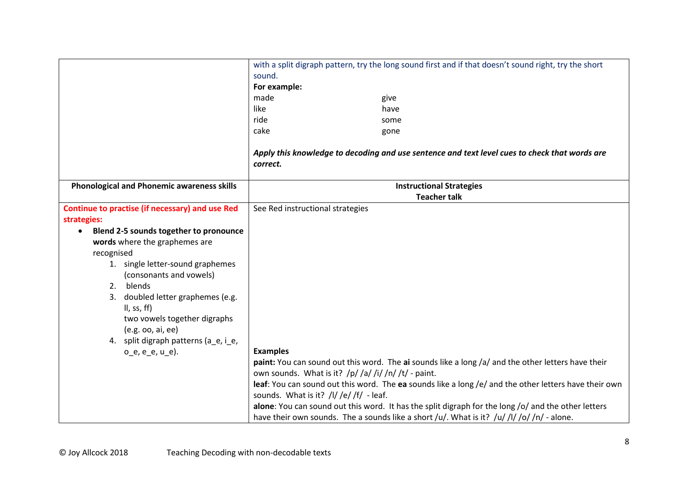|                                                     | with a split digraph pattern, try the long sound first and if that doesn't sound right, try the short |  |  |  |  |
|-----------------------------------------------------|-------------------------------------------------------------------------------------------------------|--|--|--|--|
|                                                     | sound.                                                                                                |  |  |  |  |
|                                                     | For example:                                                                                          |  |  |  |  |
|                                                     | made<br>give                                                                                          |  |  |  |  |
|                                                     | like<br>have                                                                                          |  |  |  |  |
|                                                     | ride<br>some                                                                                          |  |  |  |  |
|                                                     | cake<br>gone                                                                                          |  |  |  |  |
|                                                     |                                                                                                       |  |  |  |  |
|                                                     | Apply this knowledge to decoding and use sentence and text level cues to check that words are         |  |  |  |  |
|                                                     | correct.                                                                                              |  |  |  |  |
|                                                     |                                                                                                       |  |  |  |  |
| <b>Phonological and Phonemic awareness skills</b>   | <b>Instructional Strategies</b>                                                                       |  |  |  |  |
|                                                     | <b>Teacher talk</b>                                                                                   |  |  |  |  |
| Continue to practise (if necessary) and use Red     | See Red instructional strategies                                                                      |  |  |  |  |
| strategies:                                         |                                                                                                       |  |  |  |  |
| Blend 2-5 sounds together to pronounce<br>$\bullet$ |                                                                                                       |  |  |  |  |
| words where the graphemes are                       |                                                                                                       |  |  |  |  |
| recognised                                          |                                                                                                       |  |  |  |  |
| 1. single letter-sound graphemes                    |                                                                                                       |  |  |  |  |
| (consonants and vowels)                             |                                                                                                       |  |  |  |  |
| blends<br>2.                                        |                                                                                                       |  |  |  |  |
| 3. doubled letter graphemes (e.g.                   |                                                                                                       |  |  |  |  |
| II, ss, ff)                                         |                                                                                                       |  |  |  |  |
| two vowels together digraphs                        |                                                                                                       |  |  |  |  |
| (e.g. oo, ai, ee)                                   |                                                                                                       |  |  |  |  |
| 4. split digraph patterns (a_e, i_e,                |                                                                                                       |  |  |  |  |
| $o_e, e_e, u_e$ ).                                  | <b>Examples</b>                                                                                       |  |  |  |  |
|                                                     | paint: You can sound out this word. The ai sounds like a long /a/ and the other letters have their    |  |  |  |  |
|                                                     | own sounds. What is it? $/p/ a /i$ /i/ $/n/ t $ - paint.                                              |  |  |  |  |
|                                                     | leaf: You can sound out this word. The ea sounds like a long /e/ and the other letters have their own |  |  |  |  |
|                                                     | sounds. What is it? $/$ l/ $/$ e/ $/$ f/ - leaf.                                                      |  |  |  |  |
|                                                     | alone: You can sound out this word. It has the split digraph for the long /o/ and the other letters   |  |  |  |  |
|                                                     | have their own sounds. The a sounds like a short /u/. What is it? /u/ /l/ /o/ /n/ - alone.            |  |  |  |  |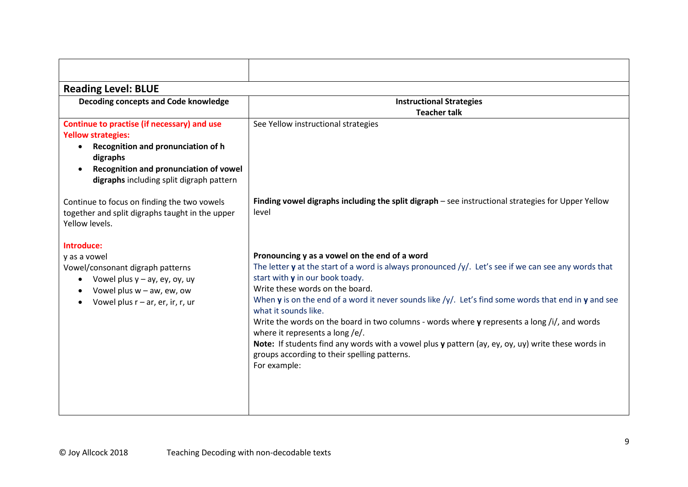| <b>Reading Level: BLUE</b>                                                                                                                                                                                       |                                                                                                                                                                                                                                                                                                                                                                                                                                                                                                                                                                                                                                                                                |
|------------------------------------------------------------------------------------------------------------------------------------------------------------------------------------------------------------------|--------------------------------------------------------------------------------------------------------------------------------------------------------------------------------------------------------------------------------------------------------------------------------------------------------------------------------------------------------------------------------------------------------------------------------------------------------------------------------------------------------------------------------------------------------------------------------------------------------------------------------------------------------------------------------|
| Decoding concepts and Code knowledge                                                                                                                                                                             | <b>Instructional Strategies</b><br><b>Teacher talk</b>                                                                                                                                                                                                                                                                                                                                                                                                                                                                                                                                                                                                                         |
| Continue to practise (if necessary) and use<br><b>Yellow strategies:</b><br>Recognition and pronunciation of h<br>digraphs<br>Recognition and pronunciation of vowel<br>digraphs including split digraph pattern | See Yellow instructional strategies                                                                                                                                                                                                                                                                                                                                                                                                                                                                                                                                                                                                                                            |
| Continue to focus on finding the two vowels<br>together and split digraphs taught in the upper<br>Yellow levels.                                                                                                 | Finding vowel digraphs including the split digraph – see instructional strategies for Upper Yellow<br>level                                                                                                                                                                                                                                                                                                                                                                                                                                                                                                                                                                    |
| Introduce:<br>y as a vowel<br>Vowel/consonant digraph patterns<br>Vowel plus $y - ay$ , ey, oy, uy<br>$\bullet$<br>Vowel plus $w - aw$ , ew, ow<br>Vowel plus $r - ar$ , er, ir, r, ur                           | Pronouncing y as a vowel on the end of a word<br>The letter y at the start of a word is always pronounced /y/. Let's see if we can see any words that<br>start with y in our book toady.<br>Write these words on the board.<br>When y is on the end of a word it never sounds like $/y'$ . Let's find some words that end in y and see<br>what it sounds like.<br>Write the words on the board in two columns - words where $\gamma$ represents a long /i/, and words<br>where it represents a long /e/.<br>Note: If students find any words with a vowel plus y pattern (ay, ey, oy, uy) write these words in<br>groups according to their spelling patterns.<br>For example: |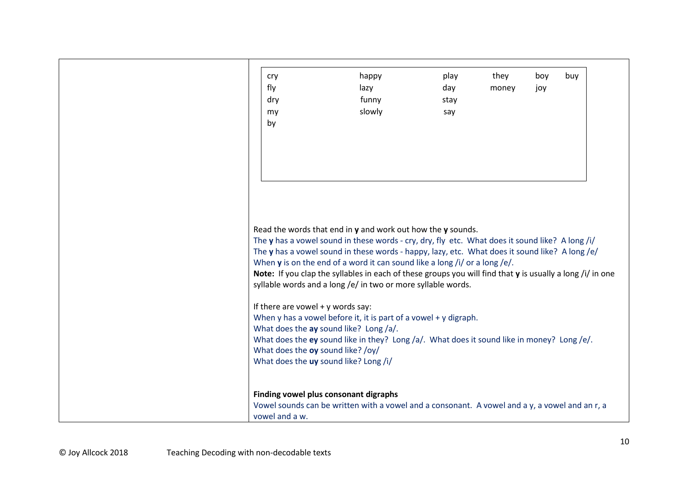|  | cry                                                                                                         | happy  | play | they  | boy | buy |
|--|-------------------------------------------------------------------------------------------------------------|--------|------|-------|-----|-----|
|  | fly                                                                                                         | lazy   | day  | money | joy |     |
|  | dry                                                                                                         | funny  | stay |       |     |     |
|  | my                                                                                                          | slowly | say  |       |     |     |
|  | by                                                                                                          |        |      |       |     |     |
|  |                                                                                                             |        |      |       |     |     |
|  |                                                                                                             |        |      |       |     |     |
|  |                                                                                                             |        |      |       |     |     |
|  |                                                                                                             |        |      |       |     |     |
|  |                                                                                                             |        |      |       |     |     |
|  |                                                                                                             |        |      |       |     |     |
|  |                                                                                                             |        |      |       |     |     |
|  |                                                                                                             |        |      |       |     |     |
|  |                                                                                                             |        |      |       |     |     |
|  | Read the words that end in $y$ and work out how the $y$ sounds.                                             |        |      |       |     |     |
|  | The y has a vowel sound in these words - cry, dry, fly etc. What does it sound like? A long /i/             |        |      |       |     |     |
|  | The y has a vowel sound in these words - happy, lazy, etc. What does it sound like? A long/e/               |        |      |       |     |     |
|  | When $\bf{y}$ is on the end of a word it can sound like a long /i/ or a long /e/.                           |        |      |       |     |     |
|  | Note: If you clap the syllables in each of these groups you will find that $y$ is usually a long /i/ in one |        |      |       |     |     |
|  | syllable words and a long /e/ in two or more syllable words.                                                |        |      |       |     |     |
|  |                                                                                                             |        |      |       |     |     |
|  | If there are vowel $+$ y words say:                                                                         |        |      |       |     |     |
|  | When $y$ has a vowel before it, it is part of a vowel + $y$ digraph.                                        |        |      |       |     |     |
|  | What does the ay sound like? Long /a/.                                                                      |        |      |       |     |     |
|  |                                                                                                             |        |      |       |     |     |
|  | What does the ey sound like in they? Long /a/. What does it sound like in money? Long /e/.                  |        |      |       |     |     |
|  | What does the oy sound like? /oy/                                                                           |        |      |       |     |     |
|  | What does the uy sound like? Long /i/                                                                       |        |      |       |     |     |
|  |                                                                                                             |        |      |       |     |     |
|  |                                                                                                             |        |      |       |     |     |
|  | Finding vowel plus consonant digraphs                                                                       |        |      |       |     |     |
|  | Vowel sounds can be written with a vowel and a consonant. A vowel and a y, a vowel and an r, a              |        |      |       |     |     |
|  | vowel and a w.                                                                                              |        |      |       |     |     |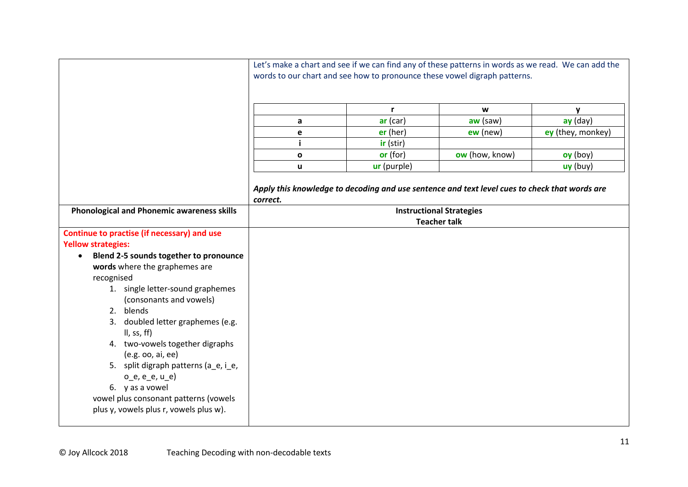|                                                                                                                                                                                                                                                                                                                                                                                                                                                                                                                                          | Let's make a chart and see if we can find any of these patterns in words as we read. We can add the<br>words to our chart and see how to pronounce these vowel digraph patterns. |              |                                                                                                                                  |                   |  |  |
|------------------------------------------------------------------------------------------------------------------------------------------------------------------------------------------------------------------------------------------------------------------------------------------------------------------------------------------------------------------------------------------------------------------------------------------------------------------------------------------------------------------------------------------|----------------------------------------------------------------------------------------------------------------------------------------------------------------------------------|--------------|----------------------------------------------------------------------------------------------------------------------------------|-------------------|--|--|
|                                                                                                                                                                                                                                                                                                                                                                                                                                                                                                                                          |                                                                                                                                                                                  | $\mathbf{r}$ | W                                                                                                                                | y                 |  |  |
|                                                                                                                                                                                                                                                                                                                                                                                                                                                                                                                                          | a                                                                                                                                                                                | $ar$ (car)   | $aw$ (saw)                                                                                                                       | $ay$ (day)        |  |  |
|                                                                                                                                                                                                                                                                                                                                                                                                                                                                                                                                          | е                                                                                                                                                                                | $er$ (her)   | $ew$ (new)                                                                                                                       | ey (they, monkey) |  |  |
|                                                                                                                                                                                                                                                                                                                                                                                                                                                                                                                                          |                                                                                                                                                                                  | ir (stir)    |                                                                                                                                  |                   |  |  |
|                                                                                                                                                                                                                                                                                                                                                                                                                                                                                                                                          | $\mathbf{o}$                                                                                                                                                                     | or (for)     | ow (how, know)                                                                                                                   | oy (boy)          |  |  |
|                                                                                                                                                                                                                                                                                                                                                                                                                                                                                                                                          | ū                                                                                                                                                                                | ur (purple)  |                                                                                                                                  | uy (buy)          |  |  |
| <b>Phonological and Phonemic awareness skills</b>                                                                                                                                                                                                                                                                                                                                                                                                                                                                                        | correct.                                                                                                                                                                         |              | Apply this knowledge to decoding and use sentence and text level cues to check that words are<br><b>Instructional Strategies</b> |                   |  |  |
|                                                                                                                                                                                                                                                                                                                                                                                                                                                                                                                                          |                                                                                                                                                                                  |              | <b>Teacher talk</b>                                                                                                              |                   |  |  |
| Continue to practise (if necessary) and use<br><b>Yellow strategies:</b><br>Blend 2-5 sounds together to pronounce<br>$\bullet$<br>words where the graphemes are<br>recognised<br>1. single letter-sound graphemes<br>(consonants and vowels)<br>2. blends<br>3. doubled letter graphemes (e.g.<br>II, ss, ff)<br>4. two-vowels together digraphs<br>(e.g. oo, ai, ee)<br>5. split digraph patterns (a_e, i_e,<br>$o_e, e_e, u_e)$<br>6. y as a vowel<br>vowel plus consonant patterns (vowels<br>plus y, vowels plus r, vowels plus w). |                                                                                                                                                                                  |              |                                                                                                                                  |                   |  |  |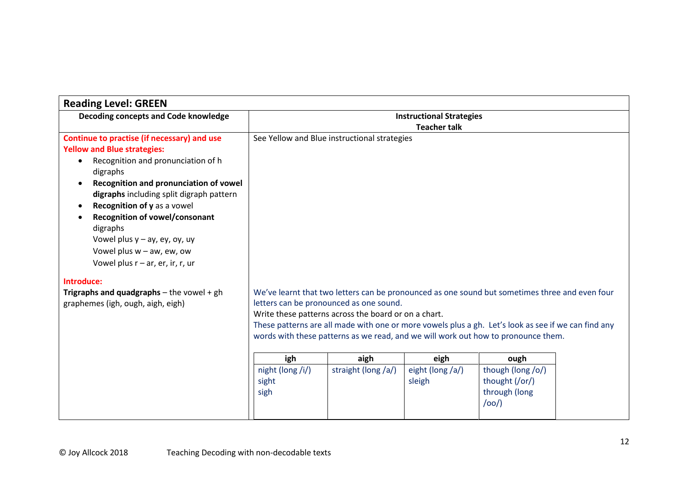| <b>Reading Level: GREEN</b>                                                                                                                                                                                                                                                                                                                                                                                                                 |                                                                                                                                                                                                                                                                                                                                                                                               |                     |                            |                                                              |  |  |
|---------------------------------------------------------------------------------------------------------------------------------------------------------------------------------------------------------------------------------------------------------------------------------------------------------------------------------------------------------------------------------------------------------------------------------------------|-----------------------------------------------------------------------------------------------------------------------------------------------------------------------------------------------------------------------------------------------------------------------------------------------------------------------------------------------------------------------------------------------|---------------------|----------------------------|--------------------------------------------------------------|--|--|
| Decoding concepts and Code knowledge                                                                                                                                                                                                                                                                                                                                                                                                        | <b>Instructional Strategies</b>                                                                                                                                                                                                                                                                                                                                                               |                     |                            |                                                              |  |  |
|                                                                                                                                                                                                                                                                                                                                                                                                                                             | <b>Teacher talk</b>                                                                                                                                                                                                                                                                                                                                                                           |                     |                            |                                                              |  |  |
| Continue to practise (if necessary) and use<br><b>Yellow and Blue strategies:</b><br>Recognition and pronunciation of h<br>digraphs<br>Recognition and pronunciation of vowel<br>$\bullet$<br>digraphs including split digraph pattern<br>Recognition of y as a vowel<br>$\bullet$<br>Recognition of vowel/consonant<br>digraphs<br>Vowel plus $y - ay$ , ey, oy, uy<br>Vowel plus $w - aw$ , ew, ow<br>Vowel plus $r - ar$ , er, ir, r, ur | See Yellow and Blue instructional strategies                                                                                                                                                                                                                                                                                                                                                  |                     |                            |                                                              |  |  |
| Introduce:                                                                                                                                                                                                                                                                                                                                                                                                                                  |                                                                                                                                                                                                                                                                                                                                                                                               |                     |                            |                                                              |  |  |
| Trigraphs and quadgraphs - the vowel + $gh$<br>graphemes (igh, ough, aigh, eigh)                                                                                                                                                                                                                                                                                                                                                            | We've learnt that two letters can be pronounced as one sound but sometimes three and even four<br>letters can be pronounced as one sound.<br>Write these patterns across the board or on a chart.<br>These patterns are all made with one or more vowels plus a gh. Let's look as see if we can find any<br>words with these patterns as we read, and we will work out how to pronounce them. |                     |                            |                                                              |  |  |
|                                                                                                                                                                                                                                                                                                                                                                                                                                             | igh                                                                                                                                                                                                                                                                                                                                                                                           | aigh                | eigh                       | ough                                                         |  |  |
|                                                                                                                                                                                                                                                                                                                                                                                                                                             | night (long /i/)<br>sight<br>sigh                                                                                                                                                                                                                                                                                                                                                             | straight (long /a/) | eight (long /a/)<br>sleigh | though (long /o/)<br>thought (/or/)<br>through (long<br>/oo/ |  |  |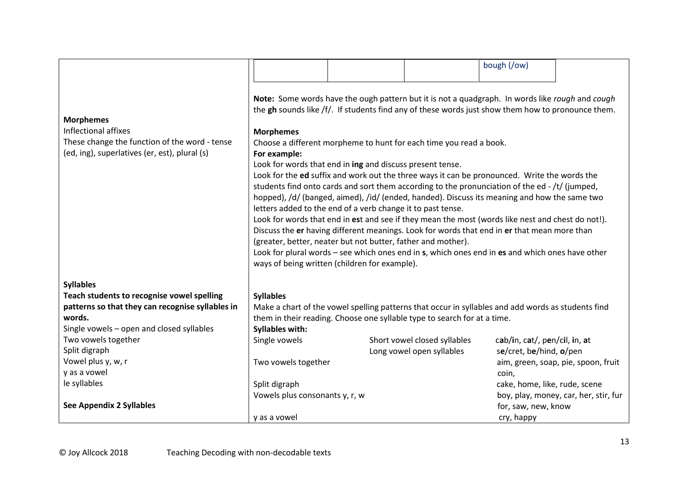|                                                                                                                                            |                                                                                                                                                                                                                                                                                                                                                                                                                                                                                                                                                                               |  |                              | bough (/ow)                       |                                       |  |  |  |
|--------------------------------------------------------------------------------------------------------------------------------------------|-------------------------------------------------------------------------------------------------------------------------------------------------------------------------------------------------------------------------------------------------------------------------------------------------------------------------------------------------------------------------------------------------------------------------------------------------------------------------------------------------------------------------------------------------------------------------------|--|------------------------------|-----------------------------------|---------------------------------------|--|--|--|
|                                                                                                                                            |                                                                                                                                                                                                                                                                                                                                                                                                                                                                                                                                                                               |  |                              |                                   |                                       |  |  |  |
| <b>Morphemes</b><br>Inflectional affixes<br>These change the function of the word - tense<br>(ed, ing), superlatives (er, est), plural (s) | Note: Some words have the ough pattern but it is not a quadgraph. In words like rough and cough<br>the gh sounds like /f/. If students find any of these words just show them how to pronounce them.<br><b>Morphemes</b><br>Choose a different morpheme to hunt for each time you read a book.<br>For example:<br>Look for words that end in ing and discuss present tense.<br>Look for the ed suffix and work out the three ways it can be pronounced. Write the words the<br>students find onto cards and sort them according to the pronunciation of the ed - /t/ (jumped, |  |                              |                                   |                                       |  |  |  |
|                                                                                                                                            | hopped), /d/ (banged, aimed), /id/ (ended, handed). Discuss its meaning and how the same two                                                                                                                                                                                                                                                                                                                                                                                                                                                                                  |  |                              |                                   |                                       |  |  |  |
|                                                                                                                                            | letters added to the end of a verb change it to past tense.<br>Look for words that end in est and see if they mean the most (words like nest and chest do not!).                                                                                                                                                                                                                                                                                                                                                                                                              |  |                              |                                   |                                       |  |  |  |
|                                                                                                                                            | Discuss the er having different meanings. Look for words that end in er that mean more than                                                                                                                                                                                                                                                                                                                                                                                                                                                                                   |  |                              |                                   |                                       |  |  |  |
|                                                                                                                                            | (greater, better, neater but not butter, father and mother).<br>Look for plural words - see which ones end in s, which ones end in es and which ones have other                                                                                                                                                                                                                                                                                                                                                                                                               |  |                              |                                   |                                       |  |  |  |
|                                                                                                                                            | ways of being written (children for example).                                                                                                                                                                                                                                                                                                                                                                                                                                                                                                                                 |  |                              |                                   |                                       |  |  |  |
| <b>Syllables</b>                                                                                                                           |                                                                                                                                                                                                                                                                                                                                                                                                                                                                                                                                                                               |  |                              |                                   |                                       |  |  |  |
| Teach students to recognise vowel spelling                                                                                                 | <b>Syllables</b>                                                                                                                                                                                                                                                                                                                                                                                                                                                                                                                                                              |  |                              |                                   |                                       |  |  |  |
| patterns so that they can recognise syllables in<br>words.                                                                                 | Make a chart of the vowel spelling patterns that occur in syllables and add words as students find                                                                                                                                                                                                                                                                                                                                                                                                                                                                            |  |                              |                                   |                                       |  |  |  |
| Single vowels - open and closed syllables                                                                                                  | them in their reading. Choose one syllable type to search for at a time.<br><b>Syllables with:</b>                                                                                                                                                                                                                                                                                                                                                                                                                                                                            |  |                              |                                   |                                       |  |  |  |
| Two vowels together                                                                                                                        | Single vowels                                                                                                                                                                                                                                                                                                                                                                                                                                                                                                                                                                 |  | Short vowel closed syllables | cab/in, cat/, pen/cil, in, at     |                                       |  |  |  |
| Split digraph                                                                                                                              |                                                                                                                                                                                                                                                                                                                                                                                                                                                                                                                                                                               |  | Long vowel open syllables    | se/cret, be/hind, o/pen           |                                       |  |  |  |
| Vowel plus y, w, r                                                                                                                         | Two vowels together                                                                                                                                                                                                                                                                                                                                                                                                                                                                                                                                                           |  |                              |                                   | aim, green, soap, pie, spoon, fruit   |  |  |  |
| y as a vowel                                                                                                                               |                                                                                                                                                                                                                                                                                                                                                                                                                                                                                                                                                                               |  |                              | coin,                             |                                       |  |  |  |
| le syllables                                                                                                                               | Split digraph                                                                                                                                                                                                                                                                                                                                                                                                                                                                                                                                                                 |  |                              | cake, home, like, rude, scene     |                                       |  |  |  |
|                                                                                                                                            | Vowels plus consonants y, r, w                                                                                                                                                                                                                                                                                                                                                                                                                                                                                                                                                |  |                              |                                   | boy, play, money, car, her, stir, fur |  |  |  |
| <b>See Appendix 2 Syllables</b>                                                                                                            | y as a vowel                                                                                                                                                                                                                                                                                                                                                                                                                                                                                                                                                                  |  |                              | for, saw, new, know<br>cry, happy |                                       |  |  |  |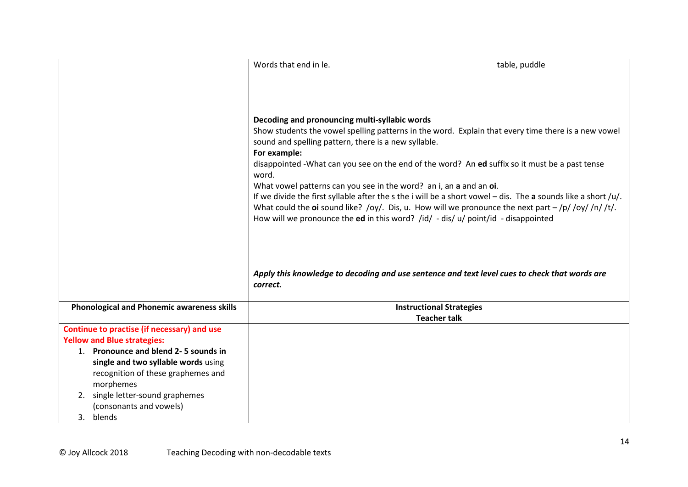|                                                   | Words that end in le.                                              | table, puddle                                                                                                   |
|---------------------------------------------------|--------------------------------------------------------------------|-----------------------------------------------------------------------------------------------------------------|
|                                                   |                                                                    |                                                                                                                 |
|                                                   |                                                                    |                                                                                                                 |
|                                                   |                                                                    |                                                                                                                 |
|                                                   |                                                                    |                                                                                                                 |
|                                                   | Decoding and pronouncing multi-syllabic words                      |                                                                                                                 |
|                                                   |                                                                    | Show students the vowel spelling patterns in the word. Explain that every time there is a new vowel             |
|                                                   | sound and spelling pattern, there is a new syllable.               |                                                                                                                 |
|                                                   | For example:                                                       |                                                                                                                 |
|                                                   | word.                                                              | disappointed - What can you see on the end of the word? An ed suffix so it must be a past tense                 |
|                                                   | What vowel patterns can you see in the word? an i, an a and an oi. |                                                                                                                 |
|                                                   |                                                                    | If we divide the first syllable after the s the i will be a short vowel $-$ dis. The a sounds like a short /u/. |
|                                                   |                                                                    | What could the oi sound like? /oy/. Dis, u. How will we pronounce the next part $-\frac{1}{2}$ /oy//n//t/.      |
|                                                   |                                                                    | How will we pronounce the ed in this word? /id/ - dis/ u/ point/id - disappointed                               |
|                                                   |                                                                    |                                                                                                                 |
|                                                   |                                                                    |                                                                                                                 |
|                                                   |                                                                    |                                                                                                                 |
|                                                   |                                                                    | Apply this knowledge to decoding and use sentence and text level cues to check that words are                   |
|                                                   | correct.                                                           |                                                                                                                 |
|                                                   |                                                                    |                                                                                                                 |
| <b>Phonological and Phonemic awareness skills</b> |                                                                    | <b>Instructional Strategies</b>                                                                                 |
|                                                   |                                                                    | <b>Teacher talk</b>                                                                                             |
| Continue to practise (if necessary) and use       |                                                                    |                                                                                                                 |
| <b>Yellow and Blue strategies:</b>                |                                                                    |                                                                                                                 |
| 1. Pronounce and blend 2-5 sounds in              |                                                                    |                                                                                                                 |
| single and two syllable words using               |                                                                    |                                                                                                                 |
| recognition of these graphemes and                |                                                                    |                                                                                                                 |
| morphemes                                         |                                                                    |                                                                                                                 |
| 2. single letter-sound graphemes                  |                                                                    |                                                                                                                 |
| (consonants and vowels)                           |                                                                    |                                                                                                                 |
| 3. blends                                         |                                                                    |                                                                                                                 |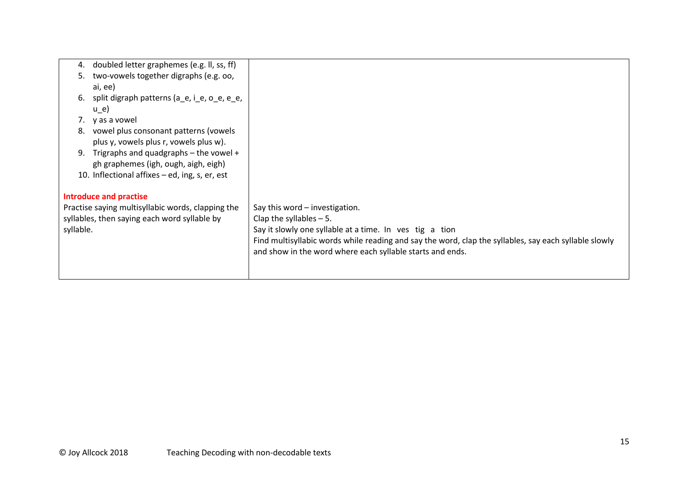| 4.        | doubled letter graphemes (e.g. II, ss, ff)        |                                                                                                       |
|-----------|---------------------------------------------------|-------------------------------------------------------------------------------------------------------|
| 5.        | two-vowels together digraphs (e.g. oo,            |                                                                                                       |
|           | ai, ee)                                           |                                                                                                       |
| 6.        | split digraph patterns (a_e, i_e, o_e, e_e,       |                                                                                                       |
|           | $u_e$ )                                           |                                                                                                       |
| 7.        | y as a vowel                                      |                                                                                                       |
| 8.        | vowel plus consonant patterns (vowels             |                                                                                                       |
|           | plus y, vowels plus r, vowels plus w).            |                                                                                                       |
|           | 9. Trigraphs and quadgraphs $-$ the vowel $+$     |                                                                                                       |
|           | gh graphemes (igh, ough, aigh, eigh)              |                                                                                                       |
|           | 10. Inflectional affixes - ed, ing, s, er, est    |                                                                                                       |
|           |                                                   |                                                                                                       |
|           | <b>Introduce and practise</b>                     |                                                                                                       |
|           | Practise saying multisyllabic words, clapping the | Say this word - investigation.                                                                        |
|           | syllables, then saying each word syllable by      | Clap the syllables $-5$ .                                                                             |
| syllable. |                                                   | Say it slowly one syllable at a time. In ves tig a tion                                               |
|           |                                                   | Find multisyllabic words while reading and say the word, clap the syllables, say each syllable slowly |
|           |                                                   | and show in the word where each syllable starts and ends.                                             |
|           |                                                   |                                                                                                       |
|           |                                                   |                                                                                                       |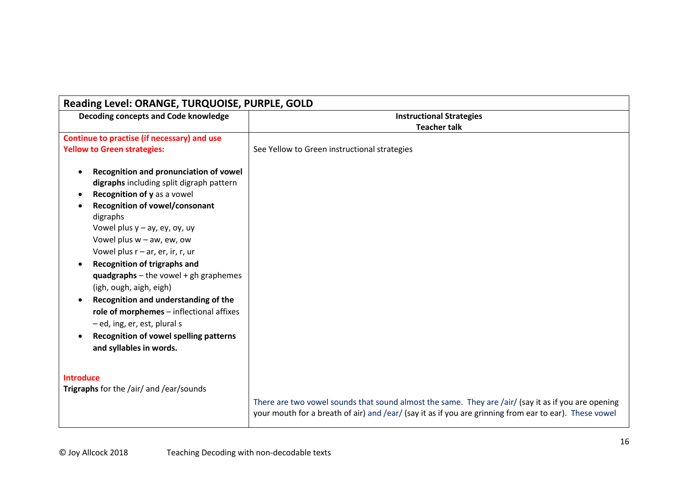| Reading Level: ORANGE, TURQUOISE, PURPLE, GOLD                                                                                                                                                                                                                                                                                                                                                                                                                                                                                                                                                   |                                                                                                                                                                                                               |  |  |  |  |  |
|--------------------------------------------------------------------------------------------------------------------------------------------------------------------------------------------------------------------------------------------------------------------------------------------------------------------------------------------------------------------------------------------------------------------------------------------------------------------------------------------------------------------------------------------------------------------------------------------------|---------------------------------------------------------------------------------------------------------------------------------------------------------------------------------------------------------------|--|--|--|--|--|
| Decoding concepts and Code knowledge                                                                                                                                                                                                                                                                                                                                                                                                                                                                                                                                                             | <b>Instructional Strategies</b>                                                                                                                                                                               |  |  |  |  |  |
|                                                                                                                                                                                                                                                                                                                                                                                                                                                                                                                                                                                                  | <b>Teacher talk</b>                                                                                                                                                                                           |  |  |  |  |  |
| Continue to practise (if necessary) and use                                                                                                                                                                                                                                                                                                                                                                                                                                                                                                                                                      |                                                                                                                                                                                                               |  |  |  |  |  |
| <b>Yellow to Green strategies:</b>                                                                                                                                                                                                                                                                                                                                                                                                                                                                                                                                                               | See Yellow to Green instructional strategies                                                                                                                                                                  |  |  |  |  |  |
| Recognition and pronunciation of vowel<br>digraphs including split digraph pattern<br>Recognition of y as a vowel<br><b>Recognition of vowel/consonant</b><br>digraphs<br>Vowel plus $y - ay$ , ey, oy, uy<br>Vowel plus $w - aw$ , ew, ow<br>Vowel plus $r - ar$ , er, ir, r, ur<br><b>Recognition of trigraphs and</b><br>quadgraphs $-$ the vowel $+$ gh graphemes<br>(igh, ough, aigh, eigh)<br>Recognition and understanding of the<br>role of morphemes - inflectional affixes<br>- ed, ing, er, est, plural s<br><b>Recognition of vowel spelling patterns</b><br>and syllables in words. |                                                                                                                                                                                                               |  |  |  |  |  |
| <b>Introduce</b><br>Trigraphs for the /air/ and /ear/sounds                                                                                                                                                                                                                                                                                                                                                                                                                                                                                                                                      | There are two vowel sounds that sound almost the same. They are /air/ (say it as if you are opening<br>your mouth for a breath of air) and /ear/ (say it as if you are grinning from ear to ear). These vowel |  |  |  |  |  |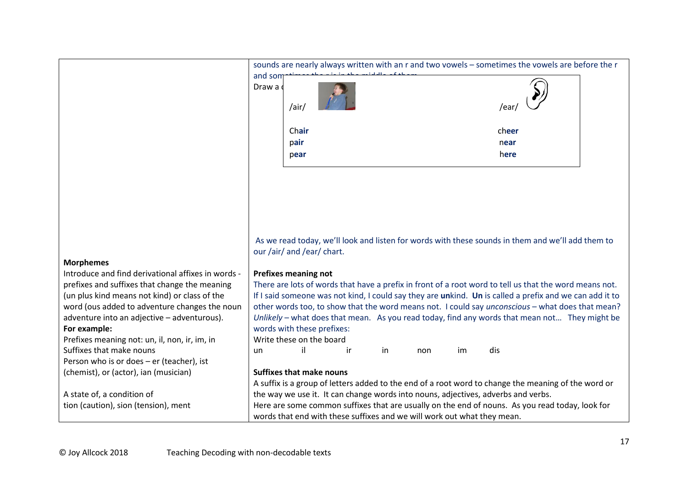|                                                    | sounds are nearly always written with an r and two vowels - sometimes the vowels are before the r |       |                                 |    |    |                                                                                   |    |       |                                                                                                         |  |
|----------------------------------------------------|---------------------------------------------------------------------------------------------------|-------|---------------------------------|----|----|-----------------------------------------------------------------------------------|----|-------|---------------------------------------------------------------------------------------------------------|--|
|                                                    | and som                                                                                           |       |                                 |    |    |                                                                                   |    |       |                                                                                                         |  |
|                                                    | Draw a                                                                                            |       |                                 |    |    |                                                                                   |    |       |                                                                                                         |  |
|                                                    |                                                                                                   |       |                                 |    |    |                                                                                   |    |       |                                                                                                         |  |
|                                                    |                                                                                                   | /air/ |                                 |    |    |                                                                                   |    | /ear  |                                                                                                         |  |
|                                                    |                                                                                                   | Chair |                                 |    |    |                                                                                   |    | cheer |                                                                                                         |  |
|                                                    |                                                                                                   | pair  |                                 |    |    |                                                                                   |    | near  |                                                                                                         |  |
|                                                    |                                                                                                   | pear  |                                 |    |    |                                                                                   |    | here  |                                                                                                         |  |
|                                                    |                                                                                                   |       |                                 |    |    |                                                                                   |    |       |                                                                                                         |  |
|                                                    |                                                                                                   |       |                                 |    |    |                                                                                   |    |       |                                                                                                         |  |
|                                                    |                                                                                                   |       |                                 |    |    |                                                                                   |    |       |                                                                                                         |  |
|                                                    |                                                                                                   |       |                                 |    |    |                                                                                   |    |       |                                                                                                         |  |
|                                                    |                                                                                                   |       |                                 |    |    |                                                                                   |    |       |                                                                                                         |  |
|                                                    |                                                                                                   |       |                                 |    |    |                                                                                   |    |       |                                                                                                         |  |
|                                                    |                                                                                                   |       |                                 |    |    |                                                                                   |    |       |                                                                                                         |  |
|                                                    |                                                                                                   |       |                                 |    |    |                                                                                   |    |       | As we read today, we'll look and listen for words with these sounds in them and we'll add them to       |  |
|                                                    |                                                                                                   |       | our /air/ and /ear/ chart.      |    |    |                                                                                   |    |       |                                                                                                         |  |
| <b>Morphemes</b>                                   |                                                                                                   |       |                                 |    |    |                                                                                   |    |       |                                                                                                         |  |
| Introduce and find derivational affixes in words - | <b>Prefixes meaning not</b>                                                                       |       |                                 |    |    |                                                                                   |    |       |                                                                                                         |  |
| prefixes and suffixes that change the meaning      |                                                                                                   |       |                                 |    |    |                                                                                   |    |       | There are lots of words that have a prefix in front of a root word to tell us that the word means not.  |  |
| (un plus kind means not kind) or class of the      |                                                                                                   |       |                                 |    |    |                                                                                   |    |       | If I said someone was not kind, I could say they are unkind. Un is called a prefix and we can add it to |  |
| word (ous added to adventure changes the noun      |                                                                                                   |       |                                 |    |    |                                                                                   |    |       | other words too, to show that the word means not. I could say <i>unconscious</i> - what does that mean? |  |
| adventure into an adjective - adventurous).        |                                                                                                   |       |                                 |    |    |                                                                                   |    |       | Unlikely - what does that mean. As you read today, find any words that mean not They might be           |  |
| For example:                                       |                                                                                                   |       | words with these prefixes:      |    |    |                                                                                   |    |       |                                                                                                         |  |
| Prefixes meaning not: un, il, non, ir, im, in      |                                                                                                   |       | Write these on the board        |    |    |                                                                                   |    |       |                                                                                                         |  |
| Suffixes that make nouns                           | un                                                                                                | il    |                                 | ir | in | non                                                                               | im | dis   |                                                                                                         |  |
| Person who is or does - er (teacher), ist          |                                                                                                   |       |                                 |    |    |                                                                                   |    |       |                                                                                                         |  |
| (chemist), or (actor), ian (musician)              |                                                                                                   |       | <b>Suffixes that make nouns</b> |    |    |                                                                                   |    |       |                                                                                                         |  |
|                                                    |                                                                                                   |       |                                 |    |    |                                                                                   |    |       | A suffix is a group of letters added to the end of a root word to change the meaning of the word or     |  |
| A state of, a condition of                         |                                                                                                   |       |                                 |    |    | the way we use it. It can change words into nouns, adjectives, adverbs and verbs. |    |       |                                                                                                         |  |
| tion (caution), sion (tension), ment               |                                                                                                   |       |                                 |    |    |                                                                                   |    |       | Here are some common suffixes that are usually on the end of nouns. As you read today, look for         |  |
|                                                    | words that end with these suffixes and we will work out what they mean.                           |       |                                 |    |    |                                                                                   |    |       |                                                                                                         |  |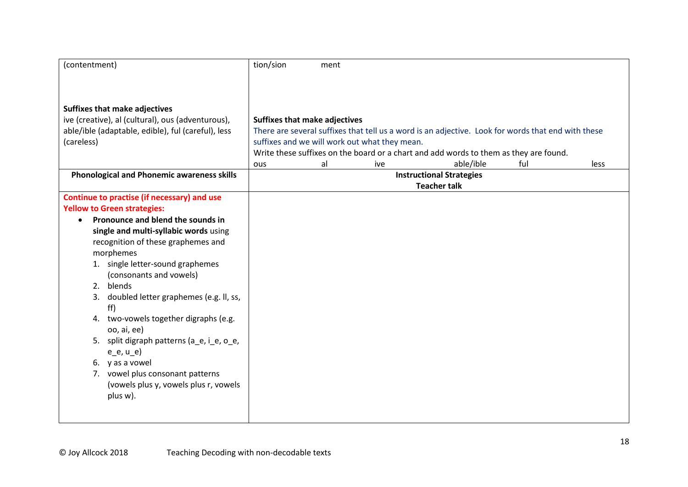| (contentment)                                                                     | tion/sion                                     | ment |     |                                                                                                    |     |      |
|-----------------------------------------------------------------------------------|-----------------------------------------------|------|-----|----------------------------------------------------------------------------------------------------|-----|------|
|                                                                                   |                                               |      |     |                                                                                                    |     |      |
|                                                                                   |                                               |      |     |                                                                                                    |     |      |
| <b>Suffixes that make adjectives</b>                                              |                                               |      |     |                                                                                                    |     |      |
| ive (creative), al (cultural), ous (adventurous),                                 | <b>Suffixes that make adjectives</b>          |      |     |                                                                                                    |     |      |
| able/ible (adaptable, edible), ful (careful), less                                |                                               |      |     | There are several suffixes that tell us a word is an adjective. Look for words that end with these |     |      |
| (careless)                                                                        | suffixes and we will work out what they mean. |      |     |                                                                                                    |     |      |
|                                                                                   |                                               |      |     | Write these suffixes on the board or a chart and add words to them as they are found.              |     |      |
|                                                                                   | ous                                           | al   | ive | able/ible                                                                                          | ful | less |
| <b>Phonological and Phonemic awareness skills</b>                                 |                                               |      |     | <b>Instructional Strategies</b>                                                                    |     |      |
|                                                                                   |                                               |      |     | <b>Teacher talk</b>                                                                                |     |      |
| Continue to practise (if necessary) and use<br><b>Yellow to Green strategies:</b> |                                               |      |     |                                                                                                    |     |      |
| Pronounce and blend the sounds in<br>$\bullet$                                    |                                               |      |     |                                                                                                    |     |      |
| single and multi-syllabic words using                                             |                                               |      |     |                                                                                                    |     |      |
| recognition of these graphemes and                                                |                                               |      |     |                                                                                                    |     |      |
| morphemes                                                                         |                                               |      |     |                                                                                                    |     |      |
| 1. single letter-sound graphemes                                                  |                                               |      |     |                                                                                                    |     |      |
| (consonants and vowels)                                                           |                                               |      |     |                                                                                                    |     |      |
| blends<br>2.                                                                      |                                               |      |     |                                                                                                    |     |      |
| doubled letter graphemes (e.g. II, ss,<br>3.<br>ff)                               |                                               |      |     |                                                                                                    |     |      |
| two-vowels together digraphs (e.g.<br>4.                                          |                                               |      |     |                                                                                                    |     |      |
| 00, ai, ee)                                                                       |                                               |      |     |                                                                                                    |     |      |
| 5. split digraph patterns (a_e, i_e, o_e,                                         |                                               |      |     |                                                                                                    |     |      |
| $e_e, u_e)$                                                                       |                                               |      |     |                                                                                                    |     |      |
| 6. y as a vowel                                                                   |                                               |      |     |                                                                                                    |     |      |
| 7. vowel plus consonant patterns                                                  |                                               |      |     |                                                                                                    |     |      |
| (vowels plus y, vowels plus r, vowels                                             |                                               |      |     |                                                                                                    |     |      |
| plus w).                                                                          |                                               |      |     |                                                                                                    |     |      |
|                                                                                   |                                               |      |     |                                                                                                    |     |      |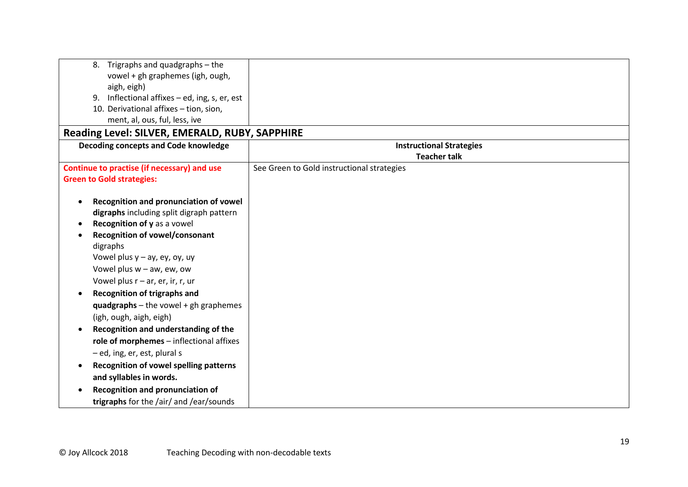| Trigraphs and quadgraphs - the<br>8.                       |                                            |
|------------------------------------------------------------|--------------------------------------------|
| vowel + gh graphemes (igh, ough,                           |                                            |
| aigh, eigh)                                                |                                            |
| Inflectional affixes - ed, ing, s, er, est<br>9.           |                                            |
| 10. Derivational affixes - tion, sion,                     |                                            |
| ment, al, ous, ful, less, ive                              |                                            |
| Reading Level: SILVER, EMERALD, RUBY, SAPPHIRE             |                                            |
| Decoding concepts and Code knowledge                       | <b>Instructional Strategies</b>            |
|                                                            | <b>Teacher talk</b>                        |
| Continue to practise (if necessary) and use                | See Green to Gold instructional strategies |
| <b>Green to Gold strategies:</b>                           |                                            |
|                                                            |                                            |
| Recognition and pronunciation of vowel                     |                                            |
| digraphs including split digraph pattern                   |                                            |
| Recognition of y as a vowel                                |                                            |
| <b>Recognition of vowel/consonant</b>                      |                                            |
| digraphs                                                   |                                            |
| Vowel plus $y - ay$ , ey, oy, uy                           |                                            |
| Vowel plus $w - aw$ , ew, ow                               |                                            |
| Vowel plus $r - ar$ , er, ir, r, ur                        |                                            |
| <b>Recognition of trigraphs and</b>                        |                                            |
| quadgraphs $-$ the vowel $+$ gh graphemes                  |                                            |
| (igh, ough, aigh, eigh)                                    |                                            |
| Recognition and understanding of the                       |                                            |
| role of morphemes - inflectional affixes                   |                                            |
| - ed, ing, er, est, plural s                               |                                            |
| <b>Recognition of vowel spelling patterns</b><br>$\bullet$ |                                            |
| and syllables in words.                                    |                                            |
| Recognition and pronunciation of                           |                                            |
| trigraphs for the /air/ and /ear/sounds                    |                                            |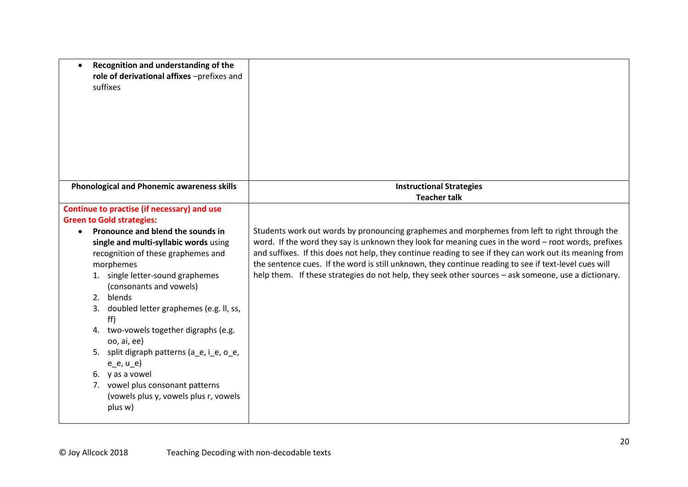| Recognition and understanding of the<br>$\bullet$<br>role of derivational affixes -prefixes and<br>suffixes                                             |                                                                                                                                                                                                                                                                                                                                                                                                                                 |
|---------------------------------------------------------------------------------------------------------------------------------------------------------|---------------------------------------------------------------------------------------------------------------------------------------------------------------------------------------------------------------------------------------------------------------------------------------------------------------------------------------------------------------------------------------------------------------------------------|
| <b>Phonological and Phonemic awareness skills</b>                                                                                                       | <b>Instructional Strategies</b><br><b>Teacher talk</b>                                                                                                                                                                                                                                                                                                                                                                          |
|                                                                                                                                                         |                                                                                                                                                                                                                                                                                                                                                                                                                                 |
| Continue to practise (if necessary) and use<br><b>Green to Gold strategies:</b>                                                                         |                                                                                                                                                                                                                                                                                                                                                                                                                                 |
| Pronounce and blend the sounds in<br>$\bullet$                                                                                                          | Students work out words by pronouncing graphemes and morphemes from left to right through the                                                                                                                                                                                                                                                                                                                                   |
| single and multi-syllabic words using<br>recognition of these graphemes and<br>morphemes<br>1. single letter-sound graphemes<br>(consonants and vowels) | word. If the word they say is unknown they look for meaning cues in the word - root words, prefixes<br>and suffixes. If this does not help, they continue reading to see if they can work out its meaning from<br>the sentence cues. If the word is still unknown, they continue reading to see if text-level cues will<br>help them. If these strategies do not help, they seek other sources - ask someone, use a dictionary. |
| 2. blends                                                                                                                                               |                                                                                                                                                                                                                                                                                                                                                                                                                                 |
| doubled letter graphemes (e.g. II, ss,<br>3.<br>ff)                                                                                                     |                                                                                                                                                                                                                                                                                                                                                                                                                                 |
| 4. two-vowels together digraphs (e.g.<br>oo, ai, ee)                                                                                                    |                                                                                                                                                                                                                                                                                                                                                                                                                                 |
| 5. split digraph patterns (a_e, i_e, o_e,<br>$e_e, u_e)$                                                                                                |                                                                                                                                                                                                                                                                                                                                                                                                                                 |
| 6. y as a vowel                                                                                                                                         |                                                                                                                                                                                                                                                                                                                                                                                                                                 |
| vowel plus consonant patterns<br>7.<br>(vowels plus y, vowels plus r, vowels<br>plus w)                                                                 |                                                                                                                                                                                                                                                                                                                                                                                                                                 |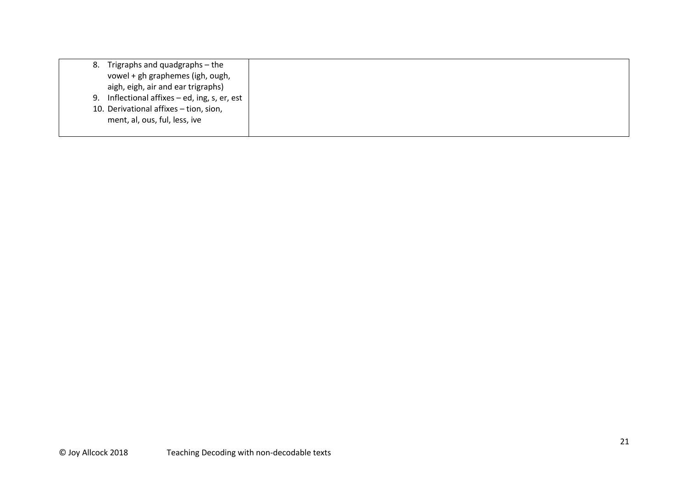| 8. | Trigraphs and quadgraphs - the                |
|----|-----------------------------------------------|
|    | vowel + gh graphemes (igh, ough,              |
|    | aigh, eigh, air and ear trigraphs)            |
|    | 9. Inflectional affixes - ed, ing, s, er, est |
|    | 10. Derivational affixes - tion, sion,        |
|    | ment, al, ous, ful, less, ive                 |
|    |                                               |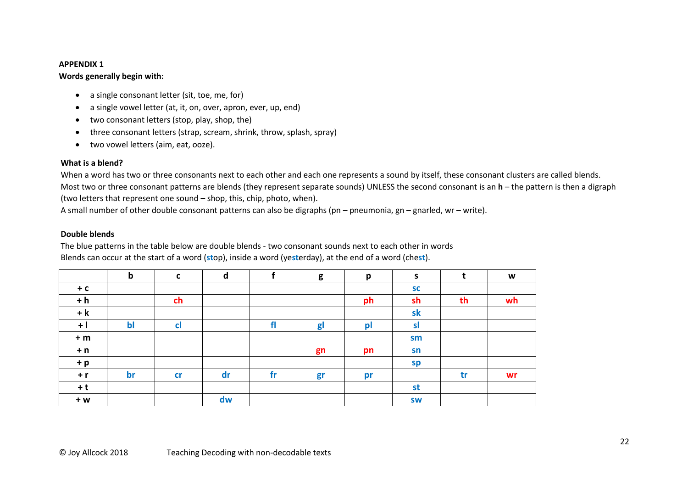#### **APPENDIX 1**

# **Words generally begin with:**

- a single consonant letter (sit, toe, me, for)
- a single vowel letter (at, it, on, over, apron, ever, up, end)
- two consonant letters (stop, play, shop, the)
- three consonant letters (strap, scream, shrink, throw, splash, spray)
- two vowel letters (aim, eat, ooze).

### **What is a blend?**

When a word has two or three consonants next to each other and each one represents a sound by itself, these consonant clusters are called blends. Most two or three consonant patterns are blends (they represent separate sounds) UNLESS the second consonant is an **h** – the pattern is then a digraph (two letters that represent one sound – shop, this, chip, photo, when).

A small number of other double consonant patterns can also be digraphs (pn – pneumonia, gn – gnarled, wr – write).

### **Double blends**

The blue patterns in the table below are double blends - two consonant sounds next to each other in words Blends can occur at the start of a word (**st**op), inside a word (ye**st**erday), at the end of a word (che**st**).

|       | $\mathbf b$ | $\mathbf c$ | $\mathbf d$ |    | g              | p  | $\mathsf{s}$ |    | W  |
|-------|-------------|-------------|-------------|----|----------------|----|--------------|----|----|
| $+ c$ |             |             |             |    |                |    | <b>SC</b>    |    |    |
| $+ h$ |             | ch          |             |    |                | ph | sh           | th | wh |
| $+ k$ |             |             |             |    |                |    | sk           |    |    |
| $+1$  | $b$         | cl          |             | fl | g <sub>l</sub> | pl | sl           |    |    |
| $+m$  |             |             |             |    |                |    | sm           |    |    |
| $+ n$ |             |             |             |    | gn             | pn | sn           |    |    |
| $+ p$ |             |             |             |    |                |    | sp           |    |    |
| $+ r$ | br          | cr          | dr          | fr | gr             | pr |              | tr | wr |
| $+t$  |             |             |             |    |                |    | st           |    |    |
| $+W$  |             |             | dw          |    |                |    | <b>SW</b>    |    |    |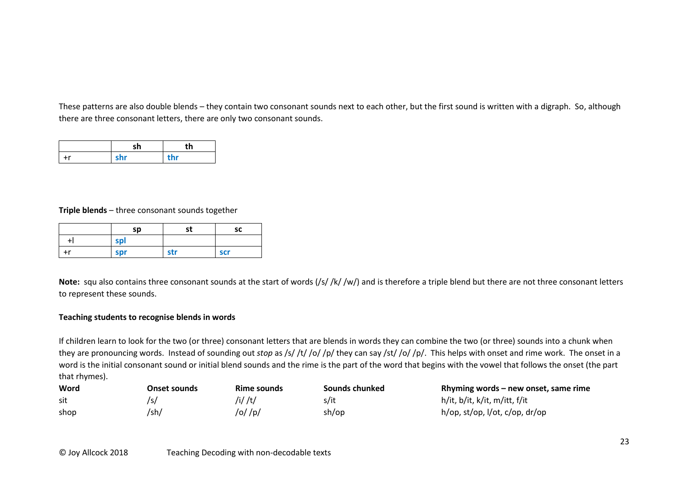These patterns are also double blends – they contain two consonant sounds next to each other, but the first sound is written with a digraph. So, although there are three consonant letters, there are only two consonant sounds.

|    |     | th  |
|----|-----|-----|
| ۲r | shr | thr |

**Triple blends** – three consonant sounds together

|      | sp  | st  | sc         |
|------|-----|-----|------------|
|      | spl |     |            |
| $+r$ | spr | str | <b>scr</b> |

Note: squ also contains three consonant sounds at the start of words (/s//k//w/) and is therefore a triple blend but there are not three consonant letters to represent these sounds.

# **Teaching students to recognise blends in words**

If children learn to look for the two (or three) consonant letters that are blends in words they can combine the two (or three) sounds into a chunk when they are pronouncing words. Instead of sounding out *stop* as /s/ /t/ /o/ /p/ they can say /st/ /o/ /p/. This helps with onset and rime work. The onset in a word is the initial consonant sound or initial blend sounds and the rime is the part of the word that begins with the vowel that follows the onset (the part that rhymes).

| Word | <b>Onset sounds</b> | Rime sounds | Sounds chunked | Rhyming words $-$ new onset, same rime |
|------|---------------------|-------------|----------------|----------------------------------------|
| sit  |                     | /i/ /t/     | s/it           | h/it, b/it, k/it, m/itt, f/it          |
| shop | /sh/                | /o/ /p/     | sh/op          | $h$ /op, st/op, l/ot, c/op, dr/op      |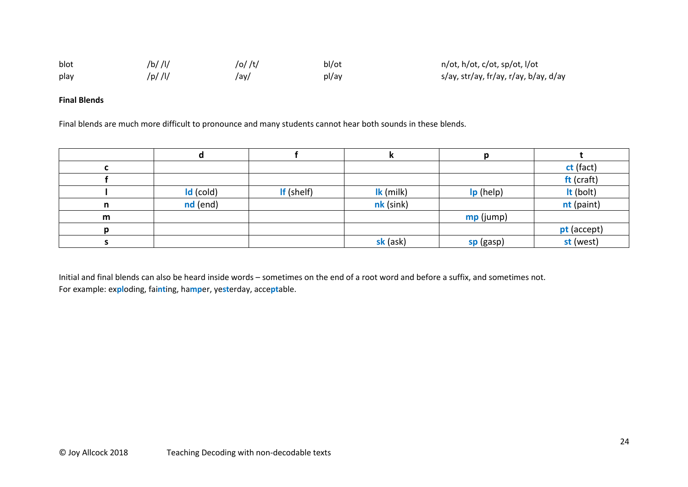| blot | /b/ /l/ | /o/ /t/ | bl/ot | n/ot, h/ot, c/ot, sp/ot, l/ot         |
|------|---------|---------|-------|---------------------------------------|
| play | /p/ /l/ | /ay/    | pl/ay | s/ay, str/ay, fr/ay, r/ay, b/ay, d/ay |

### **Final Blends**

Final blends are much more difficult to pronounce and many students cannot hear both sounds in these blends.

|    |             |            |             |           | ct (fact)   |
|----|-------------|------------|-------------|-----------|-------------|
|    |             |            |             |           | ft (craft)  |
|    | $Id$ (cold) | If (shelf) | Ik (milk)   | Ip (help) | It (bolt)   |
| n  | nd (end)    |            | $nk$ (sink) |           | nt (paint)  |
| m  |             |            |             | mp (jump) |             |
| n. |             |            |             |           | pt (accept) |
|    |             |            | sk (ask)    | sp (gasp) | st (west)   |

Initial and final blends can also be heard inside words – sometimes on the end of a root word and before a suffix, and sometimes not. For example: ex**pl**oding, fai**nt**ing, ha**mp**er, ye**st**erday, acce**pt**able.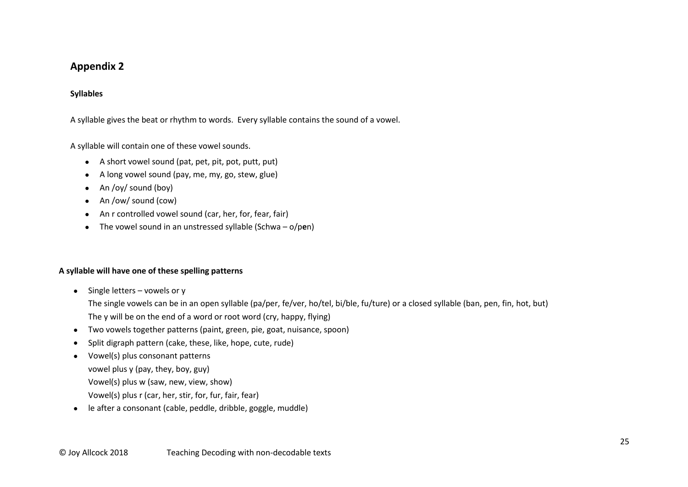# **Appendix 2**

### **Syllables**

A syllable gives the beat or rhythm to words. Every syllable contains the sound of a vowel.

A syllable will contain one of these vowel sounds.

- A short vowel sound (pat, pet, pit, pot, putt, put)
- A long vowel sound (pay, me, my, go, stew, glue)
- An /oy/ sound (boy)
- An /ow/ sound (cow)
- An r controlled vowel sound (car, her, for, fear, fair)
- The vowel sound in an unstressed syllable (Schwa o/p**e**n)

# **A syllable will have one of these spelling patterns**

• Single letters – vowels or y

The single vowels can be in an open syllable (pa/per, fe/ver, ho/tel, bi/ble, fu/ture) or a closed syllable (ban, pen, fin, hot, but) The y will be on the end of a word or root word (cry, happy, flying)

- Two vowels together patterns (paint, green, pie, goat, nuisance, spoon)
- Split digraph pattern (cake, these, like, hope, cute, rude)
- Vowel(s) plus consonant patterns
	- vowel plus y (pay, they, boy, guy)
	- Vowel(s) plus w (saw, new, view, show)
	- Vowel(s) plus r (car, her, stir, for, fur, fair, fear)
- le after a consonant (cable, peddle, dribble, goggle, muddle)